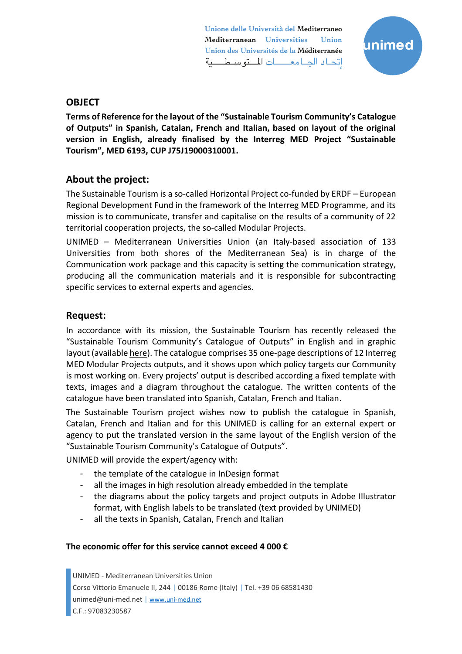Unione delle Università del Mediterraneo Mediterranean Universities Union Union des Universités de la Méditerranée إتحاد الجامعات المتوسطية



## **OBJECT**

**Terms of Reference for the layout of the "Sustainable Tourism Community's Catalogue of Outputs" in Spanish, Catalan, French and Italian, based on layout of the original version in English, already finalised by the Interreg MED Project "Sustainable Tourism", MED 6193, CUP J75J19000310001.** 

## **About the project:**

The Sustainable Tourism is a so-called Horizontal Project co-funded by ERDF – European Regional Development Fund in the framework of the Interreg MED Programme, and its mission is to communicate, transfer and capitalise on the results of a community of 22 territorial cooperation projects, the so-called Modular Projects.

UNIMED – Mediterranean Universities Union (an Italy-based association of 133 Universities from both shores of the Mediterranean Sea) is in charge of the Communication work package and this capacity is setting the communication strategy, producing all the communication materials and it is responsible for subcontracting specific services to external experts and agencies.

### **Request:**

In accordance with its mission, the Sustainable Tourism has recently released the "Sustainable Tourism Community's Catalogue of Outputs" in English and in graphic layout (available [here\)](https://sustainable-tourism.interreg-med.eu/no-cache/news-events/news/detail/actualites/sustainable-tourism-catalogue-of-projects-outputs-and-policy-targets/). The catalogue comprises 35 one-page descriptions of 12 Interreg MED Modular Projects outputs, and it shows upon which policy targets our Community is most working on. Every projects' output is described according a fixed template with texts, images and a diagram throughout the catalogue. The written contents of the catalogue have been translated into Spanish, Catalan, French and Italian.

The Sustainable Tourism project wishes now to publish the catalogue in Spanish, Catalan, French and Italian and for this UNIMED is calling for an external expert or agency to put the translated version in the same layout of the English version of the "Sustainable Tourism Community's Catalogue of Outputs".

UNIMED will provide the expert/agency with:

- the template of the catalogue in InDesign format
- all the images in high resolution already embedded in the template
- the diagrams about the policy targets and project outputs in Adobe Illustrator format, with English labels to be translated (text provided by UNIMED)
- all the texts in Spanish, Catalan, French and Italian

#### **The economic offer for this service cannot exceed 4 000 €**

UNIMED - Mediterranean Universities Union Corso Vittorio Emanuele II, 244 | 00186 Rome (Italy) | Tel. +39 06 68581430 unimed@uni-med.net | [www.uni-med.net](http://www.uni-med.net/) C.F.: 97083230587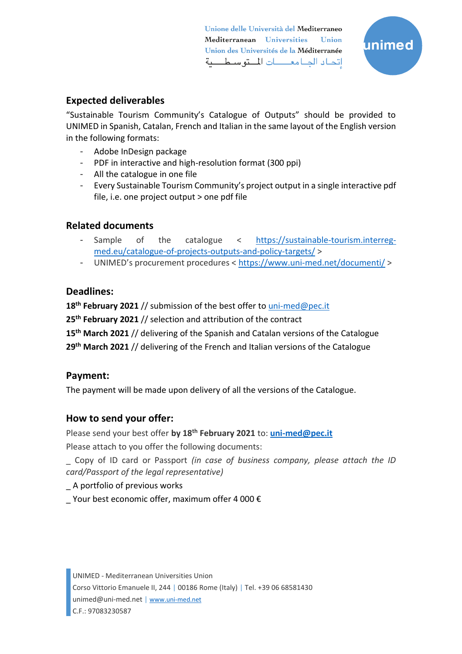Unione delle Università del Mediterraneo Mediterranean Universities **Union** Union des Universités de la Méditerranée إتحاد الجامعـــات المتوسطـــية



# **Expected deliverables**

"Sustainable Tourism Community's Catalogue of Outputs" should be provided to UNIMED in Spanish, Catalan, French and Italian in the same layout of the English version in the following formats:

- Adobe InDesign package
- PDF in interactive and high-resolution format (300 ppi)
- All the catalogue in one file
- Every Sustainable Tourism Community's project output in a single interactive pdf file, i.e. one project output > one pdf file

# **Related documents**

- Sample of the catalogue < [https://sustainable-tourism.interreg](https://sustainable-tourism.interreg-med.eu/catalogue-of-projects-outputs-and-policy-targets/)[med.eu/catalogue-of-projects-outputs-and-policy-targets/](https://sustainable-tourism.interreg-med.eu/catalogue-of-projects-outputs-and-policy-targets/) >
- UNIMED's procurement procedures < <https://www.uni-med.net/documenti/> >

## **Deadlines:**

**18 th February 2021** // submission of the best offer to [uni-med@pec.it](mailto:uni-med@pec.it)

**25th February 2021** // selection and attribution of the contract

**15 th March 2021** // delivering of the Spanish and Catalan versions of the Catalogue

**29 th March 2021** // delivering of the French and Italian versions of the Catalogue

# **Payment:**

The payment will be made upon delivery of all the versions of the Catalogue.

# **How to send your offer:**

Please send your best offer **by 18 th February 2021** to: **[uni-med@pec.it](mailto:uni-med@pec.it)**

Please attach to you offer the following documents:

\_ Copy of ID card or Passport *(in case of business company, please attach the ID card/Passport of the legal representative)*

## \_ A portfolio of previous works

Your best economic offer, maximum offer 4 000  $\epsilon$